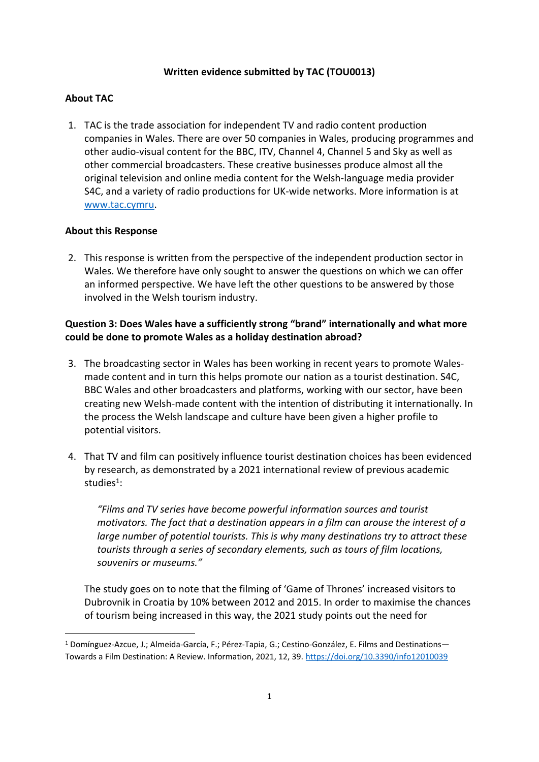## **Written evidence submitted by TAC (TOU0013)**

# **About TAC**

1. TAC is the trade association for independent TV and radio content production companies in Wales. There are over 50 companies in Wales, producing programmes and other audio-visual content for the BBC, ITV, Channel 4, Channel 5 and Sky as well as other commercial broadcasters. These creative businesses produce almost all the original television and online media content for the Welsh-language media provider S4C, and a variety of radio productions for UK-wide networks. More information is at [www.tac.cymru.](http://www.tac.cymru/)

## **About this Response**

2. This response is written from the perspective of the independent production sector in Wales. We therefore have only sought to answer the questions on which we can offer an informed perspective. We have left the other questions to be answered by those involved in the Welsh tourism industry.

# **Question 3: Does Wales have a sufficiently strong "brand" internationally and what more could be done to promote Wales as a holiday destination abroad?**

- 3. The broadcasting sector in Wales has been working in recent years to promote Walesmade content and in turn this helps promote our nation as a tourist destination. S4C, BBC Wales and other broadcasters and platforms, working with our sector, have been creating new Welsh-made content with the intention of distributing it internationally. In the process the Welsh landscape and culture have been given a higher profile to potential visitors.
- 4. That TV and film can positively influence tourist destination choices has been evidenced by research, as demonstrated by a 2021 international review of previous academic studies<sup>1</sup>:

*"Films and TV series have become powerful information sources and tourist motivators. The fact that a destination appears in a film can arouse the interest of a large number of potential tourists. This is why many destinations try to attract these tourists through a series of secondary elements, such as tours of film locations, souvenirs or museums."*

The study goes on to note that the filming of 'Game of Thrones' increased visitors to Dubrovnik in Croatia by 10% between 2012 and 2015. In order to maximise the chances of tourism being increased in this way, the 2021 study points out the need for

<sup>1</sup> Domínguez-Azcue, J.; Almeida-García, F.; Pérez-Tapia, G.; Cestino-González, E. Films and Destinations— Towards a Film Destination: A Review. Information, 2021, 12, 39. <https://doi.org/10.3390/info12010039>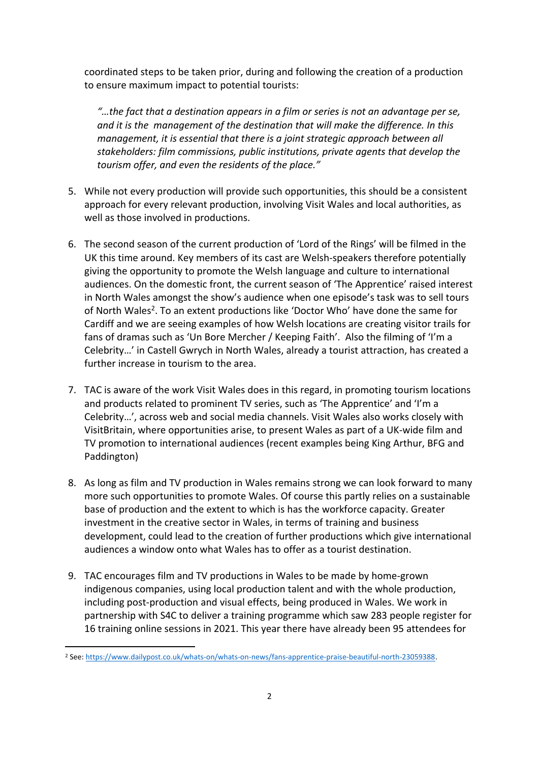coordinated steps to be taken prior, during and following the creation of a production to ensure maximum impact to potential tourists:

*"…the fact that a destination appears in a film or series is not an advantage per se, and it is the management of the destination that will make the difference. In this management, it is essential that there is a joint strategic approach between all stakeholders: film commissions, public institutions, private agents that develop the tourism offer, and even the residents of the place."*

- 5. While not every production will provide such opportunities, this should be a consistent approach for every relevant production, involving Visit Wales and local authorities, as well as those involved in productions.
- 6. The second season of the current production of 'Lord of the Rings' will be filmed in the UK this time around. Key members of its cast are Welsh-speakers therefore potentially giving the opportunity to promote the Welsh language and culture to international audiences. On the domestic front, the current season of 'The Apprentice' raised interest in North Wales amongst the show's audience when one episode's task was to sell tours of North Wales<sup>2</sup>. To an extent productions like 'Doctor Who' have done the same for Cardiff and we are seeing examples of how Welsh locations are creating visitor trails for fans of dramas such as 'Un Bore Mercher / Keeping Faith'. Also the filming of 'I'm a Celebrity…' in Castell Gwrych in North Wales, already a tourist attraction, has created a further increase in tourism to the area.
- 7. TAC is aware of the work Visit Wales does in this regard, in promoting tourism locations and products related to prominent TV series, such as 'The Apprentice' and 'I'm a Celebrity…', across web and social media channels. Visit Wales also works closely with VisitBritain, where opportunities arise, to present Wales as part of a UK-wide film and TV promotion to international audiences (recent examples being King Arthur, BFG and Paddington)
- 8. As long as film and TV production in Wales remains strong we can look forward to many more such opportunities to promote Wales. Of course this partly relies on a sustainable base of production and the extent to which is has the workforce capacity. Greater investment in the creative sector in Wales, in terms of training and business development, could lead to the creation of further productions which give international audiences a window onto what Wales has to offer as a tourist destination.
- 9. TAC encourages film and TV productions in Wales to be made by home-grown indigenous companies, using local production talent and with the whole production, including post-production and visual effects, being produced in Wales. We work in partnership with S4C to deliver a training programme which saw 283 people register for 16 training online sessions in 2021. This year there have already been 95 attendees for

<sup>&</sup>lt;sup>2</sup> See: <https://www.dailypost.co.uk/whats-on/whats-on-news/fans-apprentice-praise-beautiful-north-23059388>.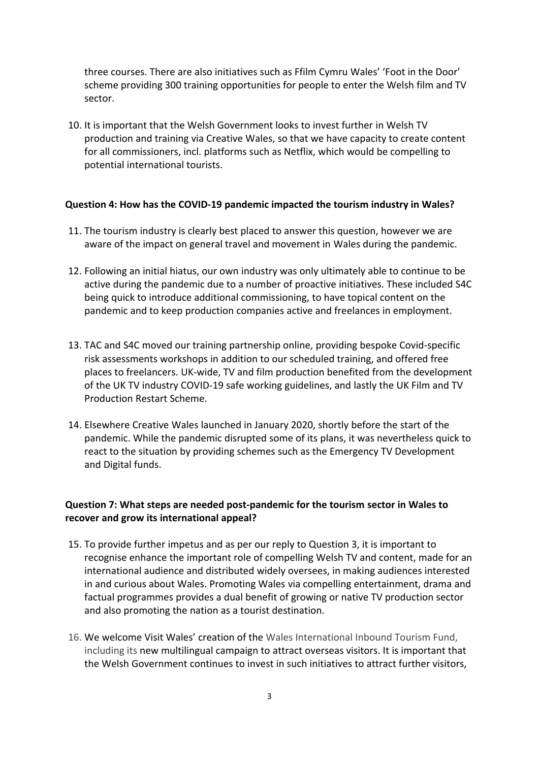three courses. There are also initiatives such as Ffilm Cymru Wales' 'Foot in the Door' scheme providing 300 training opportunities for people to enter the Welsh film and TV sector.

10. It is important that the Welsh Government looks to invest further in Welsh TV production and training via Creative Wales, so that we have capacity to create content for all commissioners, incl. platforms such as Netflix, which would be compelling to potential international tourists.

#### **Question 4: How has the COVID-19 pandemic impacted the tourism industry in Wales?**

- 11. The tourism industry is clearly best placed to answer this question, however we are aware of the impact on general travel and movement in Wales during the pandemic.
- 12. Following an initial hiatus, our own industry was only ultimately able to continue to be active during the pandemic due to a number of proactive initiatives. These included S4C being quick to introduce additional commissioning, to have topical content on the pandemic and to keep production companies active and freelances in employment.
- 13. TAC and S4C moved our training partnership online, providing bespoke Covid-specific risk assessments workshops in addition to our scheduled training, and offered free places to freelancers. UK-wide, TV and film production benefited from the development of the UK TV industry COVID-19 safe working guidelines, and lastly the UK Film and TV Production Restart Scheme.
- 14. Elsewhere Creative Wales launched in January 2020, shortly before the start of the pandemic. While the pandemic disrupted some of its plans, it was nevertheless quick to react to the situation by providing schemes such as the Emergency TV Development and Digital funds.

### **Question 7: What steps are needed post-pandemic for the tourism sector in Wales to recover and grow its international appeal?**

- 15. To provide further impetus and as per our reply to Question 3, it is important to recognise enhance the important role of compelling Welsh TV and content, made for an international audience and distributed widely oversees, in making audiences interested in and curious about Wales. Promoting Wales via compelling entertainment, drama and factual programmes provides a dual benefit of growing or native TV production sector and also promoting the nation as a tourist destination.
- 16. We welcome Visit Wales' creation of the Wales International Inbound Tourism Fund, including its new multilingual campaign to attract overseas visitors. It is important that the Welsh Government continues to invest in such initiatives to attract further visitors,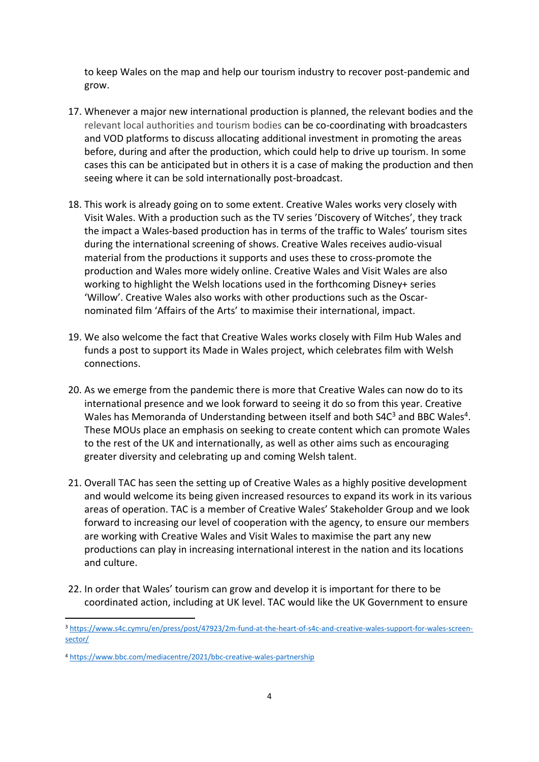to keep Wales on the map and help our tourism industry to recover post-pandemic and grow.

- 17. Whenever a major new international production is planned, the relevant bodies and the relevant local authorities and tourism bodies can be co-coordinating with broadcasters and VOD platforms to discuss allocating additional investment in promoting the areas before, during and after the production, which could help to drive up tourism. In some cases this can be anticipated but in others it is a case of making the production and then seeing where it can be sold internationally post-broadcast.
- 18. This work is already going on to some extent. Creative Wales works very closely with Visit Wales. With a production such as the TV series 'Discovery of Witches', they track the impact a Wales-based production has in terms of the traffic to Wales' tourism sites during the international screening of shows. Creative Wales receives audio-visual material from the productions it supports and uses these to cross-promote the production and Wales more widely online. Creative Wales and Visit Wales are also working to highlight the Welsh locations used in the forthcoming Disney+ series 'Willow'. Creative Wales also works with other productions such as the Oscarnominated film 'Affairs of the Arts' to maximise their international, impact.
- 19. We also welcome the fact that Creative Wales works closely with Film Hub Wales and funds a post to support its Made in Wales project, which celebrates film with Welsh connections.
- 20. As we emerge from the pandemic there is more that Creative Wales can now do to its international presence and we look forward to seeing it do so from this year. Creative Wales has Memoranda of Understanding between itself and both S4 $C<sup>3</sup>$  and BBC Wales<sup>4</sup>. These MOUs place an emphasis on seeking to create content which can promote Wales to the rest of the UK and internationally, as well as other aims such as encouraging greater diversity and celebrating up and coming Welsh talent.
- 21. Overall TAC has seen the setting up of Creative Wales as a highly positive development and would welcome its being given increased resources to expand its work in its various areas of operation. TAC is a member of Creative Wales' Stakeholder Group and we look forward to increasing our level of cooperation with the agency, to ensure our members are working with Creative Wales and Visit Wales to maximise the part any new productions can play in increasing international interest in the nation and its locations and culture.
- 22. In order that Wales' tourism can grow and develop it is important for there to be coordinated action, including at UK level. TAC would like the UK Government to ensure

<sup>3</sup> [https://www.s4c.cymru/en/press/post/47923/2m-fund-at-the-heart-of-s4c-and-creative-wales-support-for-wales-screen](https://www.s4c.cymru/en/press/post/47923/2m-fund-at-the-heart-of-s4c-and-creative-wales-support-for-wales-screen-sector/)[sector/](https://www.s4c.cymru/en/press/post/47923/2m-fund-at-the-heart-of-s4c-and-creative-wales-support-for-wales-screen-sector/)

<sup>4</sup> <https://www.bbc.com/mediacentre/2021/bbc-creative-wales-partnership>